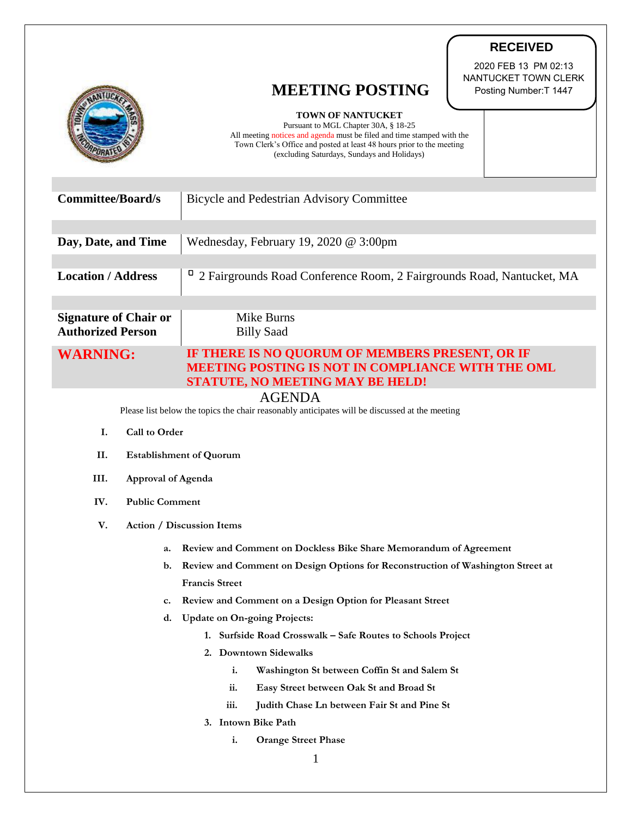|                                                                                                | <b>RECEIVED</b>                                                                                                                                 |
|------------------------------------------------------------------------------------------------|-------------------------------------------------------------------------------------------------------------------------------------------------|
|                                                                                                | 2020 FEB 13 PM 02:13                                                                                                                            |
|                                                                                                | NANTUCKET TOWN CLERK<br><b>MEETING POSTING</b><br>Posting Number: T 1447                                                                        |
|                                                                                                |                                                                                                                                                 |
|                                                                                                | <b>TOWN OF NANTUCKET</b><br>Pursuant to MGL Chapter 30A, § 18-25                                                                                |
|                                                                                                | All meeting notices and agenda must be filed and time stamped with the<br>Town Clerk's Office and posted at least 48 hours prior to the meeting |
|                                                                                                | (excluding Saturdays, Sundays and Holidays)                                                                                                     |
|                                                                                                |                                                                                                                                                 |
| <b>Committee/Board/s</b>                                                                       | Bicycle and Pedestrian Advisory Committee                                                                                                       |
|                                                                                                |                                                                                                                                                 |
| Day, Date, and Time                                                                            | Wednesday, February 19, 2020 @ 3:00pm                                                                                                           |
|                                                                                                |                                                                                                                                                 |
| <b>Location / Address</b>                                                                      | 2 Fairgrounds Road Conference Room, 2 Fairgrounds Road, Nantucket, MA                                                                           |
|                                                                                                |                                                                                                                                                 |
| <b>Signature of Chair or</b>                                                                   | <b>Mike Burns</b>                                                                                                                               |
| <b>Authorized Person</b>                                                                       | <b>Billy Saad</b>                                                                                                                               |
| <b>WARNING:</b>                                                                                | IF THERE IS NO QUORUM OF MEMBERS PRESENT, OR IF                                                                                                 |
|                                                                                                | <b>MEETING POSTING IS NOT IN COMPLIANCE WITH THE OML</b>                                                                                        |
| STATUTE, NO MEETING MAY BE HELD!<br><b>AGENDA</b>                                              |                                                                                                                                                 |
| Please list below the topics the chair reasonably anticipates will be discussed at the meeting |                                                                                                                                                 |
| Call to Order<br>I.                                                                            |                                                                                                                                                 |
| II.<br><b>Establishment of Quorum</b>                                                          |                                                                                                                                                 |
| III.<br>Approval of Agenda                                                                     |                                                                                                                                                 |
| IV.<br><b>Public Comment</b>                                                                   |                                                                                                                                                 |
| V.                                                                                             | <b>Action / Discussion Items</b>                                                                                                                |
|                                                                                                |                                                                                                                                                 |
| a.                                                                                             | Review and Comment on Dockless Bike Share Memorandum of Agreement                                                                               |
| b.                                                                                             | Review and Comment on Design Options for Reconstruction of Washington Street at<br><b>Francis Street</b>                                        |
| c.                                                                                             | Review and Comment on a Design Option for Pleasant Street                                                                                       |
| d.                                                                                             | <b>Update on On-going Projects:</b>                                                                                                             |
|                                                                                                | 1. Surfside Road Crosswalk - Safe Routes to Schools Project                                                                                     |
|                                                                                                | 2. Downtown Sidewalks                                                                                                                           |
|                                                                                                | i.<br>Washington St between Coffin St and Salem St                                                                                              |
|                                                                                                | Easy Street between Oak St and Broad St<br>ii.                                                                                                  |
| iii.<br>Judith Chase Ln between Fair St and Pine St                                            |                                                                                                                                                 |
|                                                                                                | 3. Intown Bike Path                                                                                                                             |
| i.<br><b>Orange Street Phase</b>                                                               |                                                                                                                                                 |
| 1                                                                                              |                                                                                                                                                 |